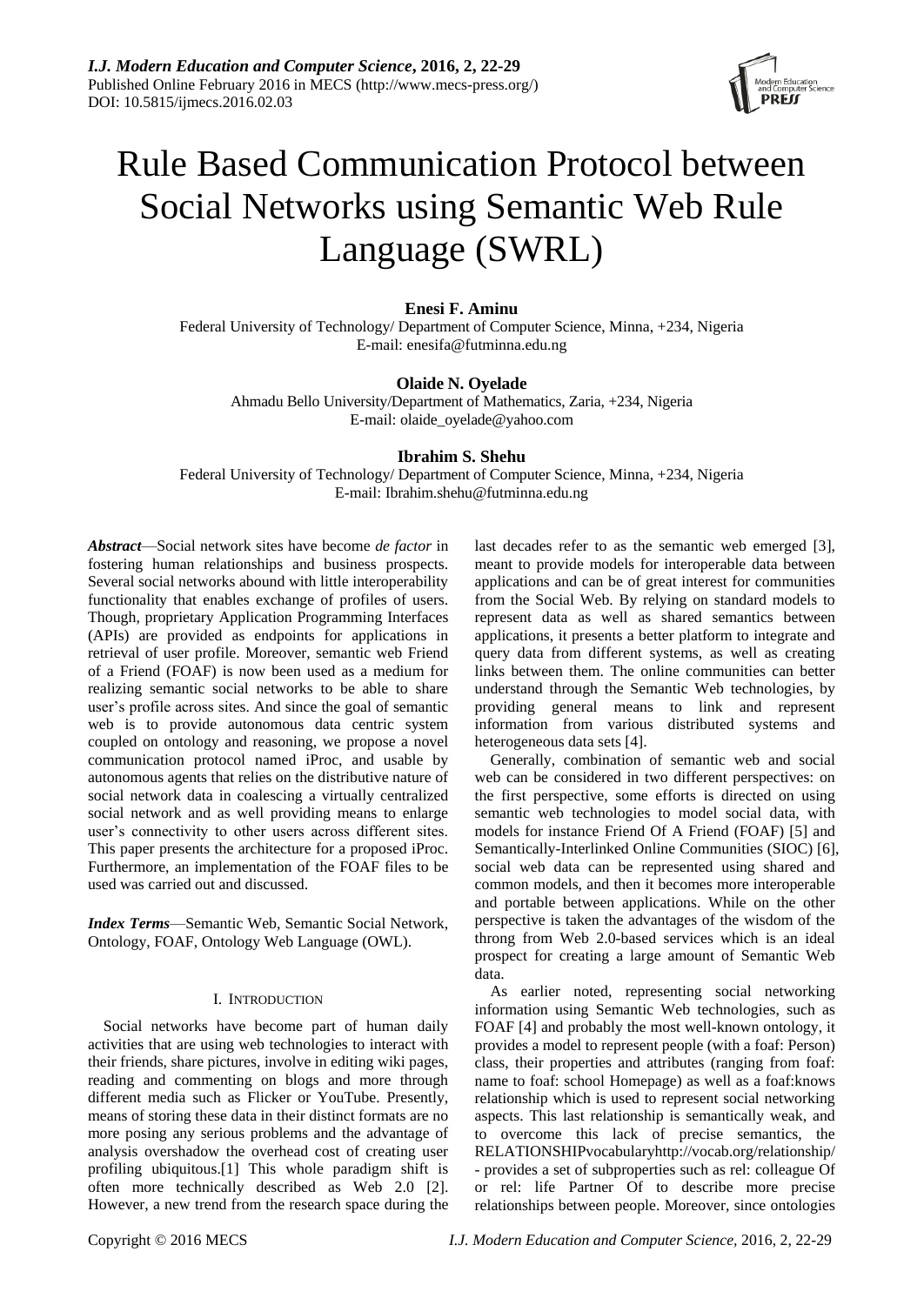

# Rule Based Communication Protocol between Social Networks using Semantic Web Rule Language (SWRL)

## **Enesi F. Aminu**

Federal University of Technology/ Department of Computer Science, Minna, +234, Nigeria E-mail: enesifa@futminna.edu.ng

# **Olaide N. Oyelade**

Ahmadu Bello University/Department of Mathematics, Zaria, +234, Nigeria E-mail: olaide\_oyelade@yahoo.com

## **Ibrahim S. Shehu**

Federal University of Technology/ Department of Computer Science, Minna, +234, Nigeria E-mail: Ibrahim.shehu@futminna.edu.ng

*Abstract*—Social network sites have become *de factor* in fostering human relationships and business prospects. Several social networks abound with little interoperability functionality that enables exchange of profiles of users. Though, proprietary Application Programming Interfaces (APIs) are provided as endpoints for applications in retrieval of user profile. Moreover, semantic web Friend of a Friend (FOAF) is now been used as a medium for realizing semantic social networks to be able to share user's profile across sites. And since the goal of semantic web is to provide autonomous data centric system coupled on ontology and reasoning, we propose a novel communication protocol named iProc, and usable by autonomous agents that relies on the distributive nature of social network data in coalescing a virtually centralized social network and as well providing means to enlarge user's connectivity to other users across different sites. This paper presents the architecture for a proposed iProc. Furthermore, an implementation of the FOAF files to be used was carried out and discussed.

*Index Terms*—Semantic Web, Semantic Social Network, Ontology, FOAF, Ontology Web Language (OWL).

## I. INTRODUCTION

Social networks have become part of human daily activities that are using web technologies to interact with their friends, share pictures, involve in editing wiki pages, reading and commenting on blogs and more through different media such as Flicker or YouTube. Presently, means of storing these data in their distinct formats are no more posing any serious problems and the advantage of analysis overshadow the overhead cost of creating user profiling ubiquitous.[1] This whole paradigm shift is often more technically described as Web 2.0 [2]. However, a new trend from the research space during the

last decades refer to as the semantic web emerged [3], meant to provide models for interoperable data between applications and can be of great interest for communities from the Social Web. By relying on standard models to represent data as well as shared semantics between applications, it presents a better platform to integrate and query data from different systems, as well as creating links between them. The online communities can better understand through the Semantic Web technologies, by providing general means to link and represent information from various distributed systems and heterogeneous data sets [4].

Generally, combination of semantic web and social web can be considered in two different perspectives: on the first perspective, some efforts is directed on using semantic web technologies to model social data, with models for instance Friend Of A Friend (FOAF) [5] and Semantically-Interlinked Online Communities (SIOC) [6], social web data can be represented using shared and common models, and then it becomes more interoperable and portable between applications. While on the other perspective is taken the advantages of the wisdom of the throng from Web 2.0-based services which is an ideal prospect for creating a large amount of Semantic Web data.

As earlier noted, representing social networking information using Semantic Web technologies, such as FOAF [4] and probably the most well-known ontology, it provides a model to represent people (with a foaf: Person) class, their properties and attributes (ranging from foaf: name to foaf: school Homepage) as well as a foaf:knows relationship which is used to represent social networking aspects. This last relationship is semantically weak, and to overcome this lack of precise semantics, the RELATIONSHIPvocabularyhttp://vocab.org/relationship/ - provides a set of subproperties such as rel: colleague Of or rel: life Partner Of to describe more precise relationships between people. Moreover, since ontologies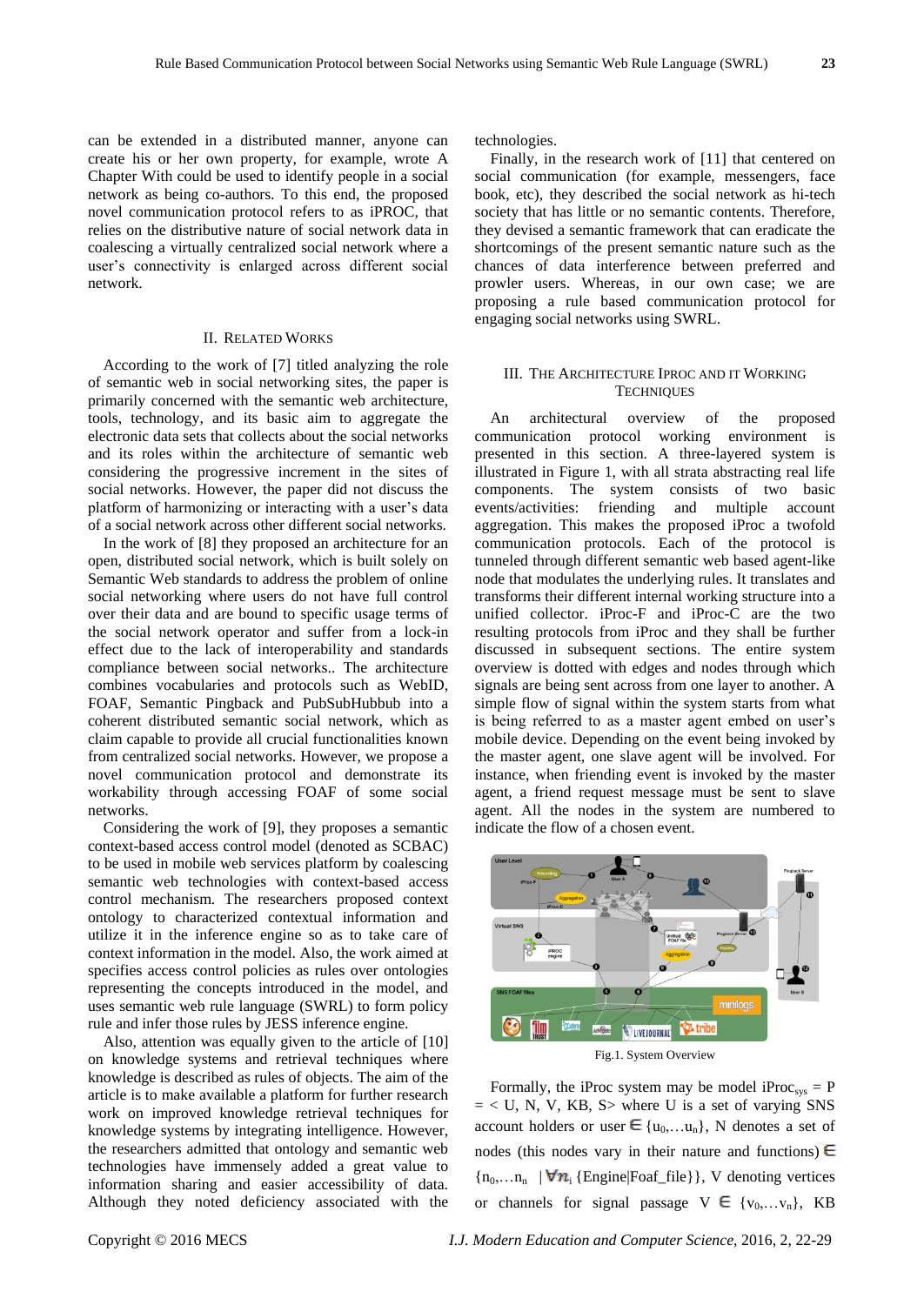can be extended in a distributed manner, anyone can create his or her own property, for example, wrote A Chapter With could be used to identify people in a social network as being co-authors. To this end, the proposed novel communication protocol refers to as iPROC, that relies on the distributive nature of social network data in coalescing a virtually centralized social network where a user's connectivity is enlarged across different social network.

## II. RELATED WORKS

According to the work of [7] titled analyzing the role of semantic web in social networking sites, the paper is primarily concerned with the semantic web architecture, tools, technology, and its basic aim to aggregate the electronic data sets that collects about the social networks and its roles within the architecture of semantic web considering the progressive increment in the sites of social networks. However, the paper did not discuss the platform of harmonizing or interacting with a user's data of a social network across other different social networks.

In the work of [8] they proposed an architecture for an open, distributed social network, which is built solely on Semantic Web standards to address the problem of online social networking where users do not have full control over their data and are bound to specific usage terms of the social network operator and suffer from a lock-in effect due to the lack of interoperability and standards compliance between social networks.. The architecture combines vocabularies and protocols such as WebID, FOAF, Semantic Pingback and PubSubHubbub into a coherent distributed semantic social network, which as claim capable to provide all crucial functionalities known from centralized social networks. However, we propose a novel communication protocol and demonstrate its workability through accessing FOAF of some social networks.

Considering the work of [9], they proposes a semantic context-based access control model (denoted as SCBAC) to be used in mobile web services platform by coalescing semantic web technologies with context-based access control mechanism. The researchers proposed context ontology to characterized contextual information and utilize it in the inference engine so as to take care of context information in the model. Also, the work aimed at specifies access control policies as rules over ontologies representing the concepts introduced in the model, and uses semantic web rule language (SWRL) to form policy rule and infer those rules by JESS inference engine.

Also, attention was equally given to the article of [10] on knowledge systems and retrieval techniques where knowledge is described as rules of objects. The aim of the article is to make available a platform for further research work on improved knowledge retrieval techniques for knowledge systems by integrating intelligence. However, the researchers admitted that ontology and semantic web technologies have immensely added a great value to information sharing and easier accessibility of data. Although they noted deficiency associated with the

technologies.

Finally, in the research work of [11] that centered on social communication (for example, messengers, face book, etc), they described the social network as hi-tech society that has little or no semantic contents. Therefore, they devised a semantic framework that can eradicate the shortcomings of the present semantic nature such as the chances of data interference between preferred and prowler users. Whereas, in our own case; we are proposing a rule based communication protocol for engaging social networks using SWRL.

### III. THE ARCHITECTURE IPROC AND IT WORKING **TECHNIQUES**

An architectural overview of the proposed communication protocol working environment is presented in this section. A three-layered system is illustrated in Figure 1, with all strata abstracting real life components. The system consists of two basic events/activities: friending and multiple account aggregation. This makes the proposed iProc a twofold communication protocols. Each of the protocol is tunneled through different semantic web based agent-like node that modulates the underlying rules. It translates and transforms their different internal working structure into a unified collector. iProc-F and iProc-C are the two resulting protocols from iProc and they shall be further discussed in subsequent sections. The entire system overview is dotted with edges and nodes through which signals are being sent across from one layer to another. A simple flow of signal within the system starts from what is being referred to as a master agent embed on user's mobile device. Depending on the event being invoked by the master agent, one slave agent will be involved. For instance, when friending event is invoked by the master agent, a friend request message must be sent to slave agent. All the nodes in the system are numbered to indicate the flow of a chosen event.



Formally, the iProc system may be model iProc<sub>sys</sub> = P  $=$  < U, N, V, KB, S where U is a set of varying SNS account holders or user  $\in \{u_0,...u_n\}$ , N denotes a set of nodes (this nodes vary in their nature and functions)  $\in$  ${n_0,...n_n}$  |  $\nabla n_i$  {Engine|Foaf\_file}}, V denoting vertices or channels for signal passage  $V \in \{v_0, \ldots, v_n\}$ , KB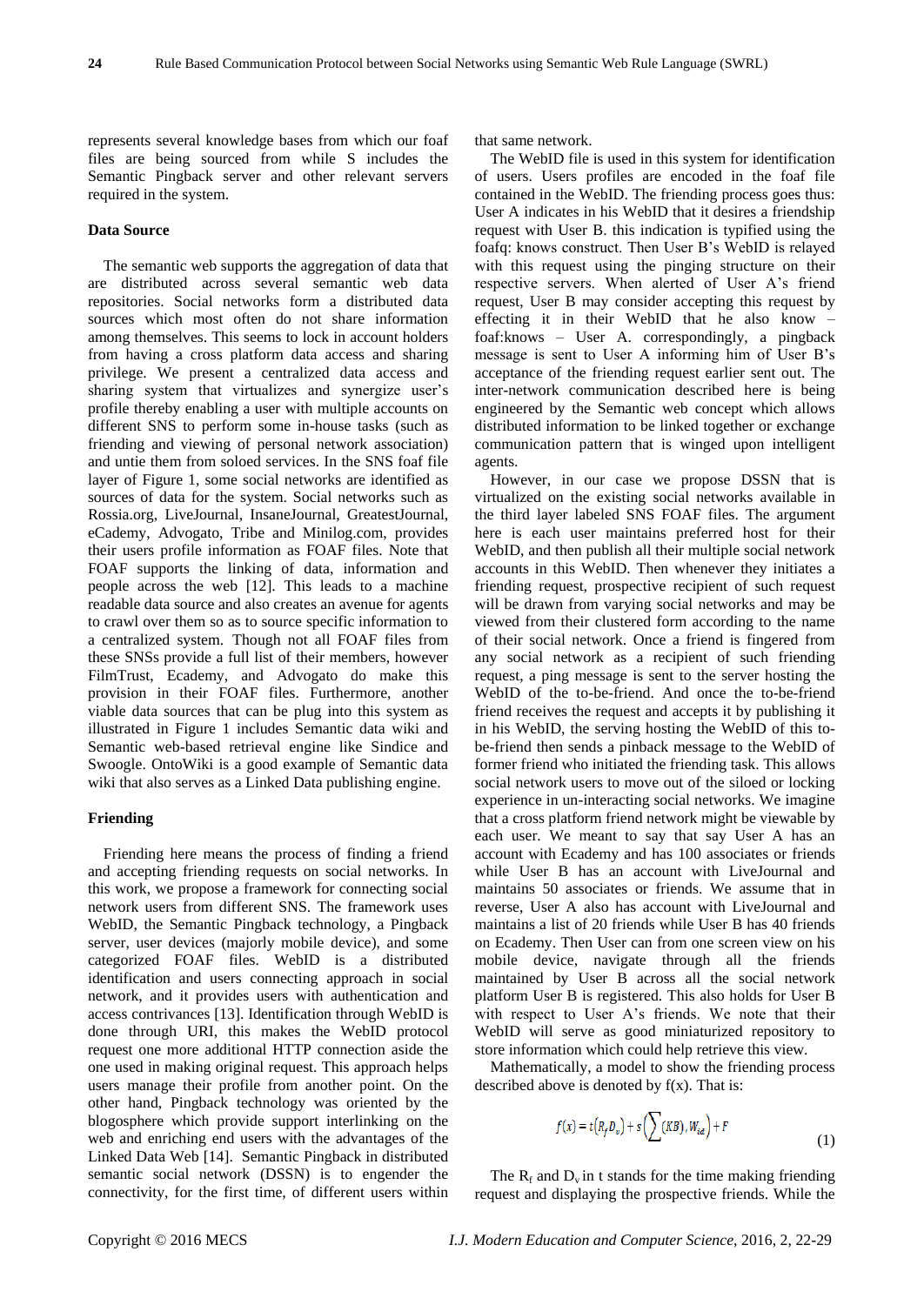represents several knowledge bases from which our foaf files are being sourced from while S includes the Semantic Pingback server and other relevant servers required in the system.

## **Data Source**

The semantic web supports the aggregation of data that are distributed across several semantic web data repositories. Social networks form a distributed data sources which most often do not share information among themselves. This seems to lock in account holders from having a cross platform data access and sharing privilege. We present a centralized data access and sharing system that virtualizes and synergize user's profile thereby enabling a user with multiple accounts on different SNS to perform some in-house tasks (such as friending and viewing of personal network association) and untie them from soloed services. In the SNS foaf file layer of Figure 1, some social networks are identified as sources of data for the system. Social networks such as Rossia.org, LiveJournal, InsaneJournal, GreatestJournal, eCademy, Advogato, Tribe and Minilog.com, provides their users profile information as FOAF files. Note that FOAF supports the linking of data, information and people across the web [12]. This leads to a machine readable data source and also creates an avenue for agents to crawl over them so as to source specific information to a centralized system. Though not all FOAF files from these SNSs provide a full list of their members, however FilmTrust, Ecademy, and Advogato do make this provision in their FOAF files. Furthermore, another viable data sources that can be plug into this system as illustrated in Figure 1 includes Semantic data wiki and Semantic web-based retrieval engine like Sindice and Swoogle. OntoWiki is a good example of Semantic data wiki that also serves as a Linked Data publishing engine.

#### **Friending**

Friending here means the process of finding a friend and accepting friending requests on social networks. In this work, we propose a framework for connecting social network users from different SNS. The framework uses WebID, the Semantic Pingback technology, a Pingback server, user devices (majorly mobile device), and some categorized FOAF files. WebID is a distributed identification and users connecting approach in social network, and it provides users with authentication and access contrivances [13]. Identification through WebID is done through URI, this makes the WebID protocol request one more additional HTTP connection aside the one used in making original request. This approach helps users manage their profile from another point. On the other hand, Pingback technology was oriented by the blogosphere which provide support interlinking on the web and enriching end users with the advantages of the Linked Data Web [14]. Semantic Pingback in distributed semantic social network (DSSN) is to engender the connectivity, for the first time, of different users within

that same network.

The WebID file is used in this system for identification of users. Users profiles are encoded in the foaf file contained in the WebID. The friending process goes thus: User A indicates in his WebID that it desires a friendship request with User B. this indication is typified using the foafq: knows construct. Then User B's WebID is relayed with this request using the pinging structure on their respective servers. When alerted of User A's friend request, User B may consider accepting this request by effecting it in their WebID that he also know – foaf:knows – User A. correspondingly, a pingback message is sent to User A informing him of User B's acceptance of the friending request earlier sent out. The inter-network communication described here is being engineered by the Semantic web concept which allows distributed information to be linked together or exchange communication pattern that is winged upon intelligent agents.

However, in our case we propose DSSN that is virtualized on the existing social networks available in the third layer labeled SNS FOAF files. The argument here is each user maintains preferred host for their WebID, and then publish all their multiple social network accounts in this WebID. Then whenever they initiates a friending request, prospective recipient of such request will be drawn from varying social networks and may be viewed from their clustered form according to the name of their social network. Once a friend is fingered from any social network as a recipient of such friending request, a ping message is sent to the server hosting the WebID of the to-be-friend. And once the to-be-friend friend receives the request and accepts it by publishing it in his WebID, the serving hosting the WebID of this tobe-friend then sends a pinback message to the WebID of former friend who initiated the friending task. This allows social network users to move out of the siloed or locking experience in un-interacting social networks. We imagine that a cross platform friend network might be viewable by each user. We meant to say that say User A has an account with Ecademy and has 100 associates or friends while User B has an account with LiveJournal and maintains 50 associates or friends. We assume that in reverse, User A also has account with LiveJournal and maintains a list of 20 friends while User B has 40 friends on Ecademy. Then User can from one screen view on his mobile device, navigate through all the friends maintained by User B across all the social network platform User B is registered. This also holds for User B with respect to User A's friends. We note that their WebID will serve as good miniaturized repository to store information which could help retrieve this view.

Mathematically, a model to show the friending process described above is denoted by  $f(x)$ . That is:

$$
f(x) = t(R_f D_v) + s\left(\sum (KB), W_{id}\right) + F\tag{1}
$$

The  $R_f$  and  $D_v$  in t stands for the time making friending request and displaying the prospective friends. While the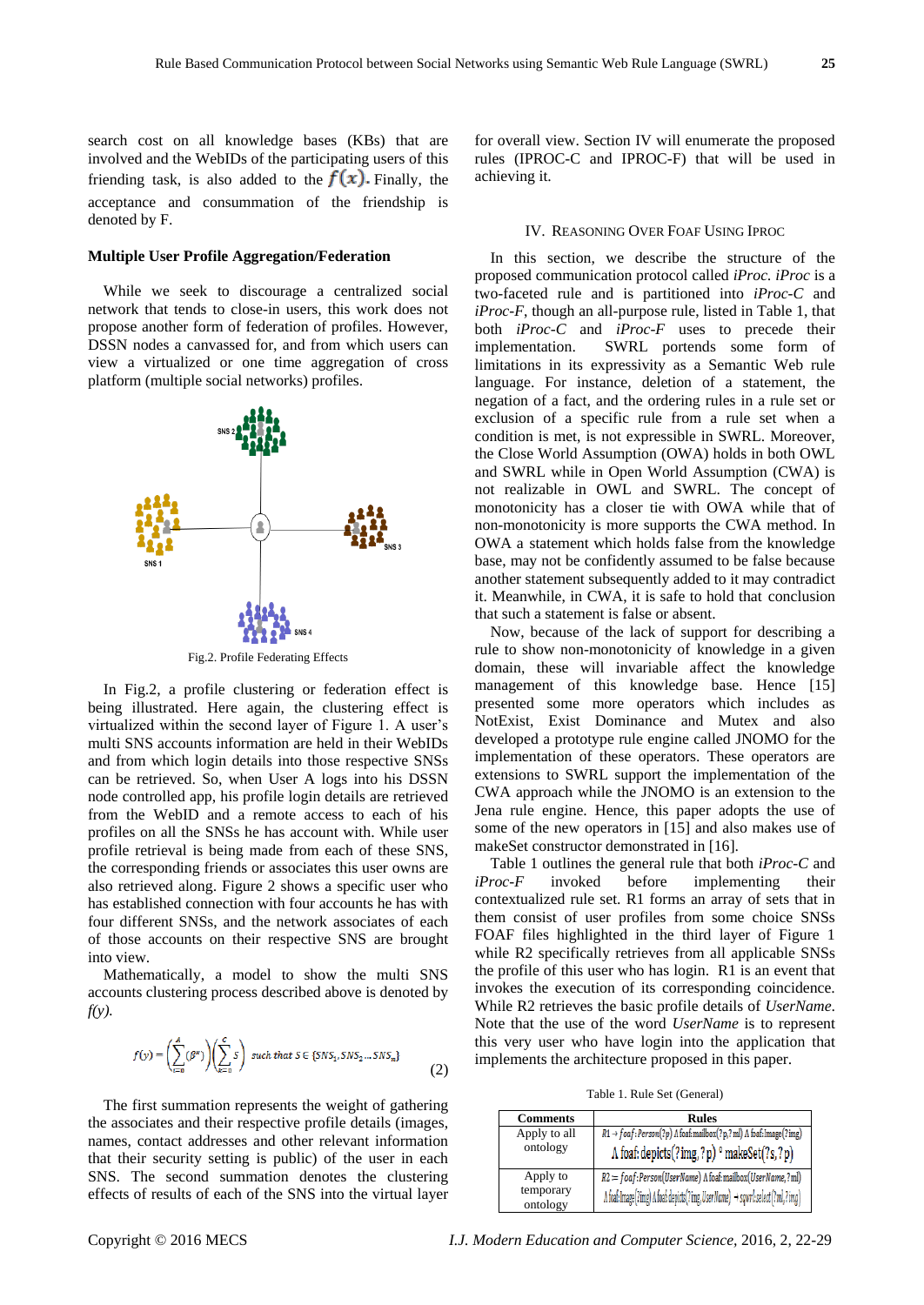search cost on all knowledge bases (KBs) that are involved and the WebIDs of the participating users of this friending task, is also added to the  $f(x)$ . Finally, the acceptance and consummation of the friendship is denoted by F.

## **Multiple User Profile Aggregation/Federation**

While we seek to discourage a centralized social network that tends to close-in users, this work does not propose another form of federation of profiles. However, DSSN nodes a canvassed for, and from which users can view a virtualized or one time aggregation of cross platform (multiple social networks) profiles.



Fig.2. Profile Federating Effects

In Fig.2, a profile clustering or federation effect is being illustrated. Here again, the clustering effect is virtualized within the second layer of Figure 1. A user's multi SNS accounts information are held in their WebIDs and from which login details into those respective SNSs can be retrieved. So, when User A logs into his DSSN node controlled app, his profile login details are retrieved from the WebID and a remote access to each of his profiles on all the SNSs he has account with. While user profile retrieval is being made from each of these SNS, the corresponding friends or associates this user owns are also retrieved along. Figure 2 shows a specific user who has established connection with four accounts he has with four different SNSs, and the network associates of each of those accounts on their respective SNS are brought into view.

Mathematically, a model to show the multi SNS accounts clustering process described above is denoted by *f(y).*

$$
f(y) = \left(\sum_{i=0}^{A} (\beta^x)\right) \left(\sum_{k=0}^{C} S\right) \text{ such that } S \in \{SNS_1, SNS_2 \dots SNS_n\}
$$
 (2)

The first summation represents the weight of gathering the associates and their respective profile details (images, names, contact addresses and other relevant information that their security setting is public) of the user in each SNS. The second summation denotes the clustering effects of results of each of the SNS into the virtual layer

for overall view. Section IV will enumerate the proposed rules (IPROC-C and IPROC-F) that will be used in achieving it.

#### IV. REASONING OVER FOAF USING IPROC

In this section, we describe the structure of the proposed communication protocol called *iProc. iProc* is a two-faceted rule and is partitioned into *iProc-C* and *iProc-F*, though an all-purpose rule, listed in Table 1, that both *iProc-C* and *iProc-F* uses to precede their implementation. SWRL portends some form of limitations in its expressivity as a Semantic Web rule language. For instance, deletion of a statement, the negation of a fact, and the ordering rules in a rule set or exclusion of a specific rule from a rule set when a condition is met, is not expressible in SWRL. Moreover, the Close World Assumption (OWA) holds in both OWL and SWRL while in Open World Assumption (CWA) is not realizable in OWL and SWRL. The concept of monotonicity has a closer tie with OWA while that of non-monotonicity is more supports the CWA method. In OWA a statement which holds false from the knowledge base, may not be confidently assumed to be false because another statement subsequently added to it may contradict it. Meanwhile, in CWA, it is safe to hold that conclusion that such a statement is false or absent.

Now, because of the lack of support for describing a rule to show non-monotonicity of knowledge in a given domain, these will invariable affect the knowledge management of this knowledge base. Hence [15] presented some more operators which includes as NotExist, Exist Dominance and Mutex and also developed a prototype rule engine called JNOMO for the implementation of these operators. These operators are extensions to SWRL support the implementation of the CWA approach while the JNOMO is an extension to the Jena rule engine. Hence, this paper adopts the use of some of the new operators in [15] and also makes use of makeSet constructor demonstrated in [16].

Table 1 outlines the general rule that both *iProc-C* and *iProc-F* invoked before implementing their contextualized rule set. R1 forms an array of sets that in them consist of user profiles from some choice SNSs FOAF files highlighted in the third layer of Figure 1 while R2 specifically retrieves from all applicable SNSs the profile of this user who has login. R1 is an event that invokes the execution of its corresponding coincidence. While R2 retrieves the basic profile details of *UserName*. Note that the use of the word *UserName* is to represent this very user who have login into the application that implements the architecture proposed in this paper.

Table 1. Rule Set (General)

| <b>Comments</b>       | <b>Rules</b>                                                                                        |
|-----------------------|-----------------------------------------------------------------------------------------------------|
| Apply to all          | $R1 \rightarrow$ foaf: Person(?p) $\Lambda$ foaf: mailbox(?p,?ml) $\Lambda$ foaf: Image(?img)       |
| ontology              | A foaf: depicts(?img,?p) ° makeSet(?s,?p)                                                           |
| Apply to              | $R2 \coloneqq$ foaf: Person(UserName) $\Lambda$ foaf: mailbox(UserName, ? ml)                       |
| temporary<br>ontology | $\Lambda$ foaf: Image(?img) $\Lambda$ foaf: depicts(?img, UserName) $\to$ sqwrl: select (?ml, ?img) |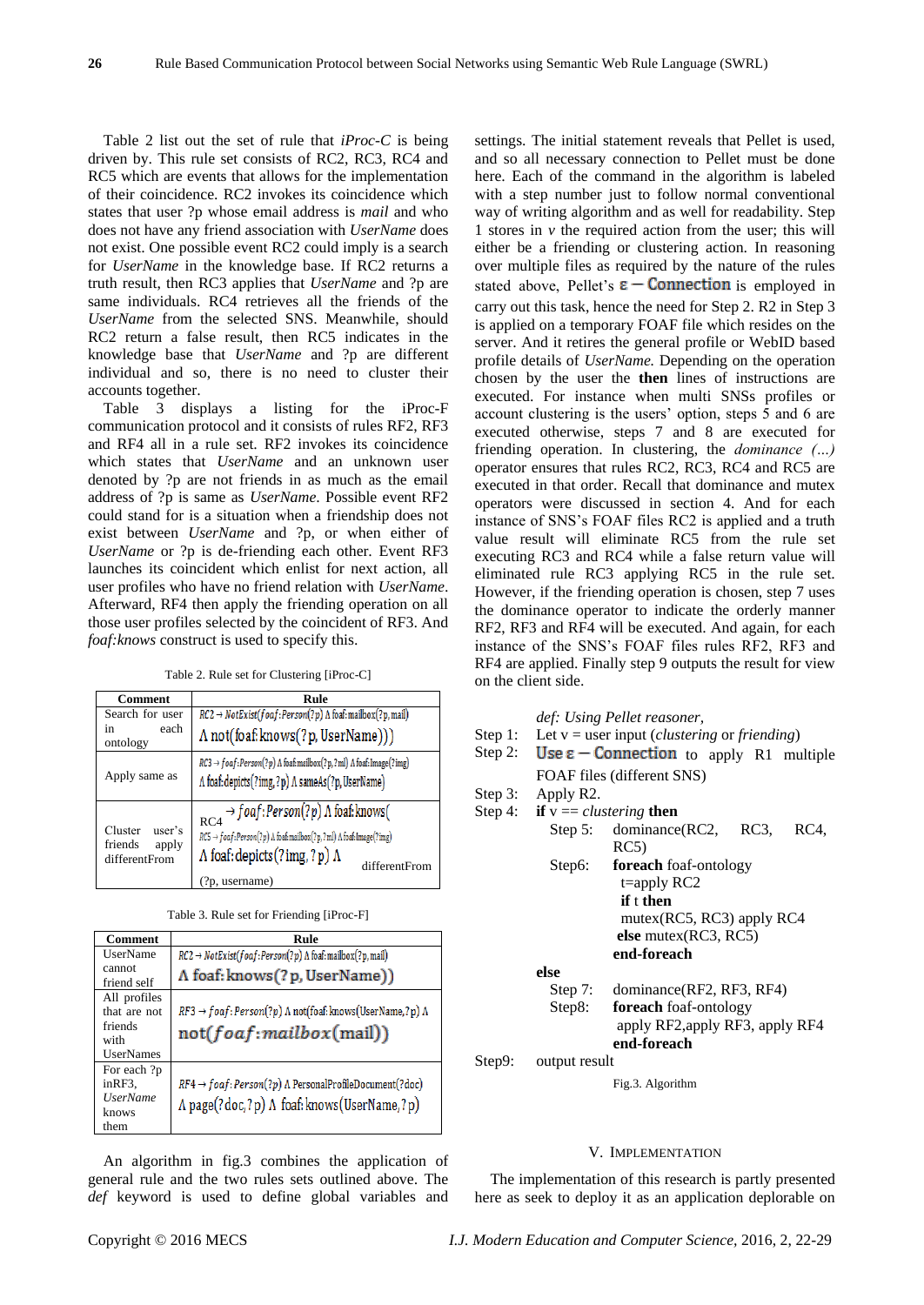Table 2 list out the set of rule that *iProc-C* is being driven by. This rule set consists of RC2, RC3, RC4 and RC5 which are events that allows for the implementation of their coincidence. RC2 invokes its coincidence which states that user ?p whose email address is *mail* and who does not have any friend association with *UserName* does not exist. One possible event RC2 could imply is a search for *UserName* in the knowledge base. If RC2 returns a truth result, then RC3 applies that *UserName* and ?p are same individuals. RC4 retrieves all the friends of the *UserName* from the selected SNS. Meanwhile, should RC2 return a false result, then RC5 indicates in the knowledge base that *UserName* and ?p are different individual and so, there is no need to cluster their accounts together.

Table 3 displays a listing for the iProc-F communication protocol and it consists of rules RF2, RF3 and RF4 all in a rule set. RF2 invokes its coincidence which states that *UserName* and an unknown user denoted by ?p are not friends in as much as the email address of ?p is same as *UserName*. Possible event RF2 could stand for is a situation when a friendship does not exist between *UserName* and ?p, or when either of *UserName* or ?p is de-friending each other. Event RF3 launches its coincident which enlist for next action, all user profiles who have no friend relation with *UserName*. Afterward, RF4 then apply the friending operation on all those user profiles selected by the coincident of RF3. And *foaf:knows* construct is used to specify this.

Table 2. Rule set for Clustering [iProc-C]

| Comment                                                | Rule                                                                                                                                                                                                                                              |
|--------------------------------------------------------|---------------------------------------------------------------------------------------------------------------------------------------------------------------------------------------------------------------------------------------------------|
| Search for user                                        | $RC2 \rightarrow NotExit(foaf:Person(?p) \land foaf:mailbox(?p, mail))$                                                                                                                                                                           |
| each<br>in<br>ontology                                 | A not(foaf: knows(?p, UserName)))                                                                                                                                                                                                                 |
| Apply same as                                          | $RC3 \rightarrow$ foaf: Person(?p) $\Lambda$ foaf: mailbox(?p, ?ml) $\Lambda$ foaf: Image(?img)<br>A foaf: depicts(?img,?p) A sameAs(?p, UserName)                                                                                                |
| Cluster<br>user's<br>friends<br>apply<br>differentFrom | $\rightarrow$ foaf:Person(?p) $\Lambda$ foaf:knows(<br>RC4<br>$RC5 \rightarrow$ foaf: Person(?p) $\Lambda$ foaf: mailbox(?p,?ml) $\Lambda$ foaf: Image(?img)<br>$\Lambda$ foaf: depicts (?img, ?p) $\Lambda$<br>differentFrom<br>$(2p,$ username) |

|  |  |  | Table 3. Rule set for Friending [iProc-F] |  |
|--|--|--|-------------------------------------------|--|
|--|--|--|-------------------------------------------|--|

| Comment               | Rule                                                                                |
|-----------------------|-------------------------------------------------------------------------------------|
| UserName              | $RC2 \rightarrow NotExit(foaf:Person(?p) \land foaf:mailbox(?p, mail))$             |
| cannot<br>friend self | A foaf: knows(?p, UserName))                                                        |
| All profiles          |                                                                                     |
| that are not          | $RF3 \rightarrow$ foaf: Person(?p) $\Lambda$ not(foaf: knows(UserName,?p) $\Lambda$ |
| friends               | not(foaf:mailbox(mail))                                                             |
| with                  |                                                                                     |
| <b>UserNames</b>      |                                                                                     |
| For each ?p           |                                                                                     |
| inRF3.                | $RF4 \rightarrow$ foaf: Person(?p) $\Lambda$ PersonalProfileDocument(?doc)          |
| <b>UserName</b>       | A page(?doc,?p) A foaf: knows(UserName,?p)                                          |
| knows                 |                                                                                     |
| them                  |                                                                                     |

An algorithm in fig.3 combines the application of general rule and the two rules sets outlined above. The *def* keyword is used to define global variables and settings. The initial statement reveals that Pellet is used, and so all necessary connection to Pellet must be done here. Each of the command in the algorithm is labeled with a step number just to follow normal conventional way of writing algorithm and as well for readability. Step 1 stores in  $\nu$  the required action from the user; this will either be a friending or clustering action. In reasoning over multiple files as required by the nature of the rules stated above, Pellet's  $\epsilon$  – **Connection** is employed in carry out this task, hence the need for Step 2. R2 in Step 3 is applied on a temporary FOAF file which resides on the server. And it retires the general profile or WebID based profile details of *UserName.* Depending on the operation chosen by the user the **then** lines of instructions are executed. For instance when multi SNSs profiles or account clustering is the users' option, steps 5 and 6 are executed otherwise, steps 7 and 8 are executed for friending operation. In clustering, the *dominance (…)* operator ensures that rules RC2, RC3, RC4 and RC5 are executed in that order. Recall that dominance and mutex operators were discussed in section 4. And for each instance of SNS's FOAF files RC2 is applied and a truth value result will eliminate RC5 from the rule set executing RC3 and RC4 while a false return value will eliminated rule RC3 applying RC5 in the rule set. However, if the friending operation is chosen, step 7 uses the dominance operator to indicate the orderly manner RF2, RF3 and RF4 will be executed. And again, for each instance of the SNS's FOAF files rules RF2, RF3 and RF4 are applied. Finally step 9 outputs the result for view on the client side.

*def: Using Pellet reasoner,* 

- Step 1: Let v = user input (*clustering* or *friending*)
- Step 2: Use  $\varepsilon$  Connection to apply R1 multiple FOAF files (different SNS)
- Step 3: Apply R2.
- Step 4: **if**  $v =$  *clustering* **then** Step 5: dominance(RC2, RC3, RC4, RC5) Step6: **foreach** foaf-ontology

|           | $t = apply RC2$                                         |
|-----------|---------------------------------------------------------|
|           | if t then                                               |
|           | mutex( $RC5$ , $RC3$ ) apply $RC4$                      |
|           | else mutex $(RC3, RC5)$                                 |
|           | end-foreach                                             |
| else      |                                                         |
| Step $7:$ | dominance(RF2, RF3, RF4)                                |
| Step8:    | foreach foaf-ontology                                   |
|           | $conl$ $\cdot$ DE2 $conl$ $\cdot$ DE2 $conl$ $\cdot$ DE |

apply RF2,apply RF3, apply RF4 **end-foreach**

Step9: output result

Fig.3. Algorithm

#### V. IMPLEMENTATION

The implementation of this research is partly presented here as seek to deploy it as an application deplorable on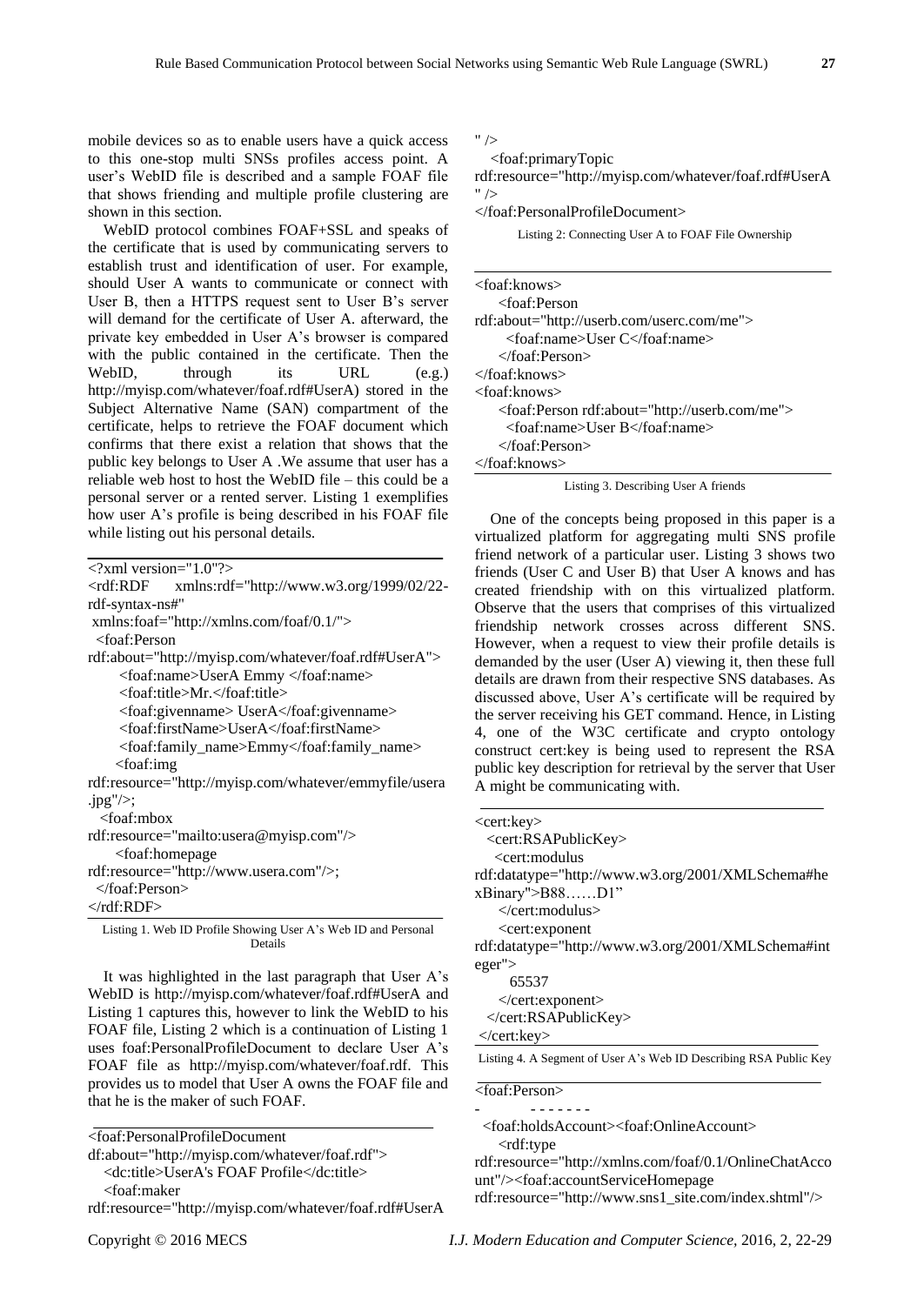mobile devices so as to enable users have a quick access to this one-stop multi SNSs profiles access point. A user's WebID file is described and a sample FOAF file that shows friending and multiple profile clustering are shown in this section.

WebID protocol combines FOAF+SSL and speaks of the certificate that is used by communicating servers to establish trust and identification of user. For example, should User A wants to communicate or connect with User B, then a HTTPS request sent to User B's server will demand for the certificate of User A. afterward, the private key embedded in User A's browser is compared with the public contained in the certificate. Then the WebID, through its URL (e.g.) http://myisp.com/whatever/foaf.rdf#UserA) stored in the Subject Alternative Name (SAN) compartment of the certificate, helps to retrieve the FOAF document which confirms that there exist a relation that shows that the public key belongs to User A .We assume that user has a reliable web host to host the WebID file – this could be a personal server or a rented server. Listing 1 exemplifies how user A's profile is being described in his FOAF file while listing out his personal details.

| $\langle$ ?xml version="1.0"? $>$                                 |
|-------------------------------------------------------------------|
| <rdf:rdf<br>xmlns:rdf="http://www.w3.org/1999/02/22-</rdf:rdf<br> |
| rdf-syntax-ns#"                                                   |
| xmlns:foaf="http://xmlns.com/foaf/0.1/">                          |
| <foaf:person< td=""></foaf:person<>                               |
| rdf:about="http://myisp.com/whatever/foaf.rdf#UserA">             |
| <foaf:name>UserA Emmy </foaf:name>                                |
| <foaf:title>Mr.</foaf:title>                                      |
| <foaf:givenname>UserA</foaf:givenname>                            |
| <foaf:firstname>UserA</foaf:firstname>                            |
| <foaf:family_name>Emmy</foaf:family_name>                         |
| $<$ foaf:img                                                      |
| rdf:resource="http://myisp.com/whatever/emmyfile/usera            |
| .jpg" $\ge$ ;                                                     |
| <foaf:mbox< td=""></foaf:mbox<>                                   |
| rdf:resource="mailto:usera@myisp.com"/>                           |
| <foaf:homepage< td=""></foaf:homepage<>                           |
| rdf:resource="http://www.usera.com"/>;                            |
| $\langle$ foaf:Person $\rangle$                                   |
| $\langle \text{rdf:RDF} \rangle$                                  |

Listing 1. Web ID Profile Showing User A's Web ID and Personal Details

It was highlighted in the last paragraph that User A's WebID is http://myisp.com/whatever/foaf.rdf#UserA and Listing 1 captures this, however to link the WebID to his FOAF file, Listing 2 which is a continuation of Listing 1 uses foaf:PersonalProfileDocument to declare User A's FOAF file as http://myisp.com/whatever/foaf.rdf. This provides us to model that User A owns the FOAF file and that he is the maker of such FOAF.

<foaf:PersonalProfileDocument

- <dc:title>UserA's FOAF Profile</dc:title>
- <foaf:maker
- rdf:resource="http://myisp.com/whatever/foaf.rdf#UserA

 $"$  /

<foaf:primaryTopic

rdf:resource="http://myisp.com/whatever/foaf.rdf#UserA  $"$  />

</foaf:PersonalProfileDocument>

Listing 2: Connecting User A to FOAF File Ownership

| <foaf:knows></foaf:knows>                                   |
|-------------------------------------------------------------|
| <foaf:person< td=""></foaf:person<>                         |
| rdf:about="http://userb.com/userc.com/me">                  |
| <foaf:name>User C</foaf:name>                               |
| $\langle$ foaf:Person $\rangle$                             |
| $\langle$ foaf:knows>                                       |
| <foaf:knows></foaf:knows>                                   |
| <foaf:person rdf:about="http://userb.com/me"></foaf:person> |
| <foaf:name>User B</foaf:name>                               |
| $\langle$ foaf:Person $\rangle$                             |
| $\langle$ foaf:knows>                                       |

Listing 3. Describing User A friends

One of the concepts being proposed in this paper is a virtualized platform for aggregating multi SNS profile friend network of a particular user. Listing 3 shows two friends (User C and User B) that User A knows and has created friendship with on this virtualized platform. Observe that the users that comprises of this virtualized friendship network crosses across different SNS. However, when a request to view their profile details is demanded by the user (User A) viewing it, then these full details are drawn from their respective SNS databases. As discussed above, User A's certificate will be required by the server receiving his GET command. Hence, in Listing 4, one of the W3C certificate and crypto ontology construct cert:key is being used to represent the RSA public key description for retrieval by the server that User A might be communicating with.

| <cert:key></cert:key>                                                            |  |
|----------------------------------------------------------------------------------|--|
| <cert:rsapublickey></cert:rsapublickey>                                          |  |
| $\leq$ cert:modulus                                                              |  |
| rdf:datatype="http://www.w3.org/2001/XMLSchema#he                                |  |
| $xBinary''>B88$ D1"                                                              |  |
|                                                                                  |  |
| <cert: exponent<="" td=""><td></td></cert:>                                      |  |
| rdf:datatype="http://www.w3.org/2001/XMLSchema#int                               |  |
| $eger$ ">                                                                        |  |
| 65537                                                                            |  |
| $\langle$ cert: exponent                                                         |  |
|                                                                                  |  |
| $\langle$ /cert:key>                                                             |  |
| Listing 4. A Segment of User A's Web ID Describing RSA Public Key                |  |
| <foaf:person></foaf:person>                                                      |  |
|                                                                                  |  |
| <foaf:holdsaccount><foaf:onlineaccount></foaf:onlineaccount></foaf:holdsaccount> |  |

<rdf:type

rdf:resource="http://xmlns.com/foaf/0.1/OnlineChatAcco unt"/><foaf:accountServiceHomepage

df:about="http://myisp.com/whatever/foaf.rdf">

rdf:resource="http://www.sns1\_site.com/index.shtml"/>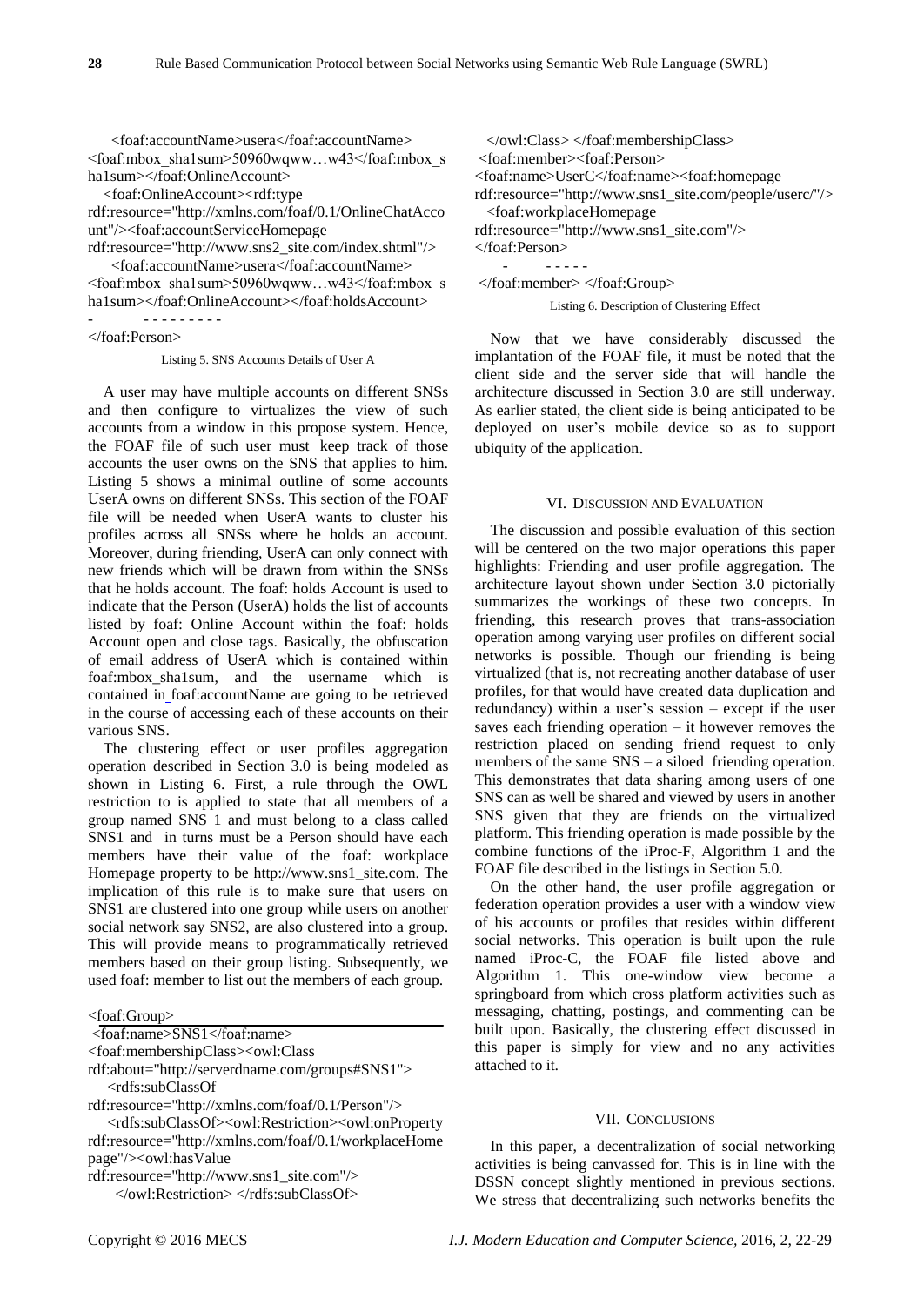<foaf:accountName>usera</foaf:accountName> <foaf:mbox\_sha1sum>50960wqww…w43</foaf:mbox\_s ha1sum></foaf:OnlineAccount>

<foaf:OnlineAccount><rdf:type

rdf:resource="http://xmlns.com/foaf/0.1/OnlineChatAcco unt"/><foaf:accountServiceHomepage

rdf:resource="http://www.sns2\_site.com/index.shtml"/> <foaf:accountName>usera</foaf:accountName> <foaf:mbox\_sha1sum>50960wqww…w43</foaf:mbox\_s

ha1sum></foaf:OnlineAccount></foaf:holdsAccount> - - - - - - - - - -

</foaf:Person>

Listing 5. SNS Accounts Details of User A

A user may have multiple accounts on different SNSs and then configure to virtualizes the view of such accounts from a window in this propose system. Hence, the FOAF file of such user must keep track of those accounts the user owns on the SNS that applies to him. Listing 5 shows a minimal outline of some accounts UserA owns on different SNSs. This section of the FOAF file will be needed when UserA wants to cluster his profiles across all SNSs where he holds an account. Moreover, during friending, UserA can only connect with new friends which will be drawn from within the SNSs that he holds account. The foaf: holds Account is used to indicate that the Person (UserA) holds the list of accounts listed by foaf: Online Account within the foaf: holds Account open and close tags. Basically, the obfuscation of email address of UserA which is contained within foaf[:mbox\\_sha1sum,](http://xmlns.com/foaf/spec/20070114.html#term_mbox_sha1sum) and the username which is contained in foaf:accountName are going to be retrieved in the course of accessing each of these accounts on their various SNS.

The clustering effect or user profiles aggregation operation described in Section 3.0 is being modeled as shown in Listing 6. First, a rule through the OWL restriction to is applied to state that all members of a group named SNS 1 and must belong to a class called SNS1 and in turns must be a Person should have each members have their value of the foaf: workplace Homepage property to be http://www.sns1\_site.com. The implication of this rule is to make sure that users on SNS1 are clustered into one group while users on another social network say SNS2, are also clustered into a group. This will provide means to programmatically retrieved members based on their group listing. Subsequently, we used foaf: member to list out the members of each group.

| <foaf:group></foaf:group> |
|---------------------------|
|---------------------------|

<foaf:name>SNS1</foaf:name>

<foaf:membershipClass><owl:Class

rdf:about="http://serverdname.com/groups#SNS1">

<rdfs:subClassOf

rdf:resource="http://xmlns.com/foaf/0.1/Person"/>

 <rdfs:subClassOf><owl:Restriction><owl:onProperty rdf:resource="http://xmlns.com/foaf/0.1/workplaceHome page"/><owl:hasValue

rdf:resource="http://www.sns1\_site.com"/>

</owl:Restriction> </rdfs:subClassOf>

 </owl:Class> </foaf:membershipClass> <foaf:member><foaf:Person> <foaf:name>UserC</foaf:name><foaf:homepage rdf:resource="http://www.sns1\_site.com/people/userc/"/> <foaf:workplaceHomepage rdf:resource="http://www.sns1\_site.com"/> </foaf:Person> - - - - - -

</foaf:member> </foaf:Group>

Listing 6. Description of Clustering Effect

Now that we have considerably discussed the implantation of the FOAF file, it must be noted that the client side and the server side that will handle the architecture discussed in Section 3.0 are still underway. As earlier stated, the client side is being anticipated to be deployed on user's mobile device so as to support ubiquity of the application.

#### VI. DISCUSSION AND EVALUATION

The discussion and possible evaluation of this section will be centered on the two major operations this paper highlights: Friending and user profile aggregation. The architecture layout shown under Section 3.0 pictorially summarizes the workings of these two concepts. In friending, this research proves that trans-association operation among varying user profiles on different social networks is possible. Though our friending is being virtualized (that is, not recreating another database of user profiles, for that would have created data duplication and redundancy) within a user's session – except if the user saves each friending operation – it however removes the restriction placed on sending friend request to only members of the same SNS – a siloed friending operation. This demonstrates that data sharing among users of one SNS can as well be shared and viewed by users in another SNS given that they are friends on the virtualized platform. This friending operation is made possible by the combine functions of the iProc-F, Algorithm 1 and the FOAF file described in the listings in Section 5.0.

On the other hand, the user profile aggregation or federation operation provides a user with a window view of his accounts or profiles that resides within different social networks. This operation is built upon the rule named iProc-C, the FOAF file listed above and Algorithm 1. This one-window view become a springboard from which cross platform activities such as messaging, chatting, postings, and commenting can be built upon. Basically, the clustering effect discussed in this paper is simply for view and no any activities attached to it.

#### VII. CONCLUSIONS

In this paper, a decentralization of social networking activities is being canvassed for. This is in line with the DSSN concept slightly mentioned in previous sections. We stress that decentralizing such networks benefits the